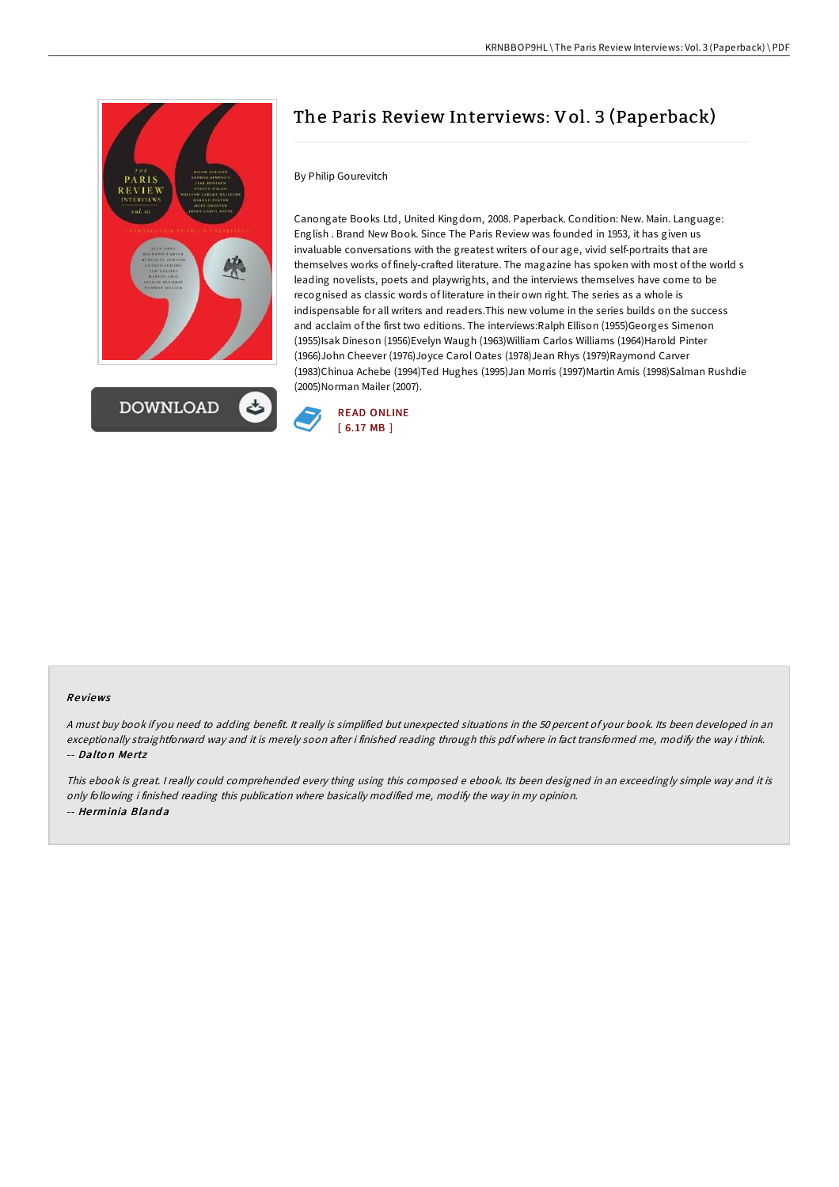

# The Paris Review Interviews: Vol. 3 (Paperback)

## By Philip Gourevitch

Canongate Books Ltd, United Kingdom, 2008. Paperback. Condition: New. Main. Language: English . Brand New Book. Since The Paris Review was founded in 1953, it has given us invaluable conversations with the greatest writers of our age, vivid self-portraits that are themselves works of finely-crafted literature. The magazine has spoken with most of the world s leading novelists, poets and playwrights, and the interviews themselves have come to be recognised as classic words of literature in their own right. The series as a whole is indispensable for all writers and readers.This new volume in the series builds on the success and acclaim of the first two editions. The interviews:Ralph Ellison (1955)Georges Simenon (1955)Isak Dineson (1956)Evelyn Waugh (1963)William Carlos Williams (1964)Harold Pinter (1966)John Cheever (1976)Joyce Carol Oates (1978)Jean Rhys (1979)Raymond Carver (1983)Chinua Achebe (1994)Ted Hughes (1995)Jan Morris (1997)Martin Amis (1998)Salman Rushdie (2005)Norman Mailer (2007).



#### Re views

<sup>A</sup> must buy book if you need to adding benefit. It really is simplified but unexpected situations in the 50 percent of your book. Its been developed in an exceptionally straightforward way and it is merely soon after i finished reading through this pdf where in fact transformed me, modify the way i think. -- Dalton Mertz

This ebook is great. I really could comprehended every thing using this composed <sup>e</sup> ebook. Its been designed in an exceedingly simple way and it is only following i finished reading this publication where basically modified me, modify the way in my opinion. -- He rminia Bland a